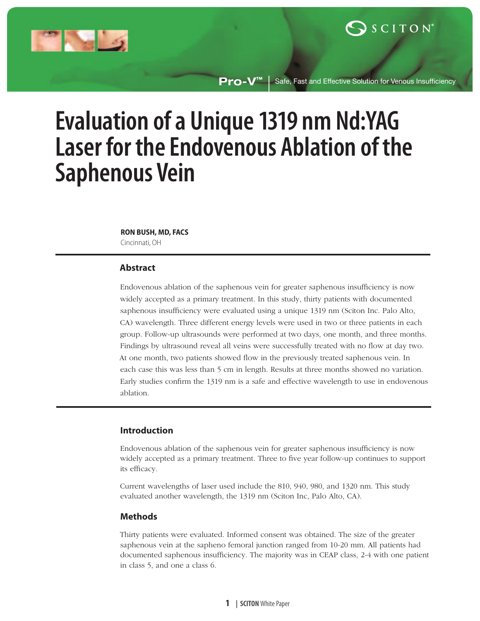

**Pro-V™** Safe, Fast and Effective Solution for Venous Insufficiency

# **Evaluation of a Unique 1319 nm Nd:YAG Laser for the Endovenous Ablation of the Saphenous Vein**

#### **RON BUSH, MD, FACS**

Cincinnati, OH

# **Abstract**

Endovenous ablation of the saphenous vein for greater saphenous insufficiency is now widely accepted as a primary treatment. In this study, thirty patients with documented saphenous insufficiency were evaluated using a unique 1319 nm (Sciton Inc. Palo Alto, CA) wavelength. Three different energy levels were used in two or three patients in each group. Follow-up ultrasounds were performed at two days, one month, and three months. Findings by ultrasound reveal all veins were successfully treated with no flow at day two. At one month, two patients showed flow in the previously treated saphenous vein. In each case this was less than 5 cm in length. Results at three months showed no variation. Early studies confirm the 1319 nm is a safe and effective wavelength to use in endovenous ablation.

# **Introduction**

Endovenous ablation of the saphenous vein for greater saphenous insufficiency is now widely accepted as a primary treatment. Three to five year follow-up continues to support its efficacy.

Current wavelengths of laser used include the 810, 940, 980, and 1320 nm. This study evaluated another wavelength, the 1319 nm (Sciton Inc, Palo Alto, CA).

# **Methods**

Thirty patients were evaluated. Informed consent was obtained. The size of the greater saphenous vein at the sapheno femoral junction ranged from 10-20 mm. All patients had documented saphenous insufficiency. The majority was in CEAP class, 2-4 with one patient in class 5, and one a class 6.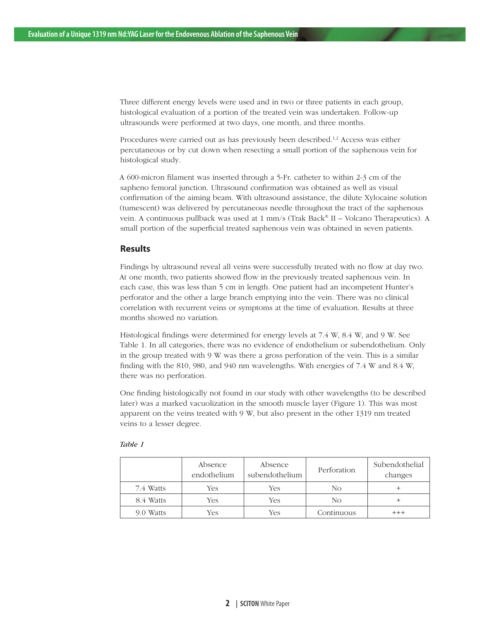Three different energy levels were used and in two or three patients in each group, histological evaluation of a portion of the treated vein was undertaken. Follow-up ultrasounds were performed at two days, one month, and three months.

Procedures were carried out as has previously been described.<sup>1,2</sup> Access was either percutaneous or by cut down when resecting a small portion of the saphenous vein for histological study.

A 600-micron filament was inserted through a 5-Fr. catheter to within 2-3 cm of the sapheno femoral junction. Ultrasound confirmation was obtained as well as visual confirmation of the aiming beam. With ultrasound assistance, the dilute Xylocaine solution (tumescent) was delivered by percutaneous needle throughout the tract of the saphenous vein. A continuous pullback was used at 1 mm/s (Trak Back® II – Volcano Therapeutics). A small portion of the superficial treated saphenous vein was obtained in seven patients.

### **Results**

Findings by ultrasound reveal all veins were successfully treated with no flow at day two. At one month, two patients showed flow in the previously treated saphenous vein. In each case, this was less than 5 cm in length. One patient had an incompetent Hunter's perforator and the other a large branch emptying into the vein. There was no clinical correlation with recurrent veins or symptoms at the time of evaluation. Results at three months showed no variation.

Histological findings were determined for energy levels at 7.4 W, 8.4 W, and 9 W. See Table 1. In all categories, there was no evidence of endothelium or subendothelium. Only in the group treated with 9 W was there a gross perforation of the vein. This is a similar finding with the 810, 980, and 940 nm wavelengths. With energies of 7.4 W and 8.4 W, there was no perforation.

One finding histologically not found in our study with other wavelengths (to be described later) was a marked vacuolization in the smooth muscle layer (Figure 1). This was most apparent on the veins treated with 9 W, but also present in the other 1319 nm treated veins to a lesser degree.

|           | Absence<br>endothelium | Absence<br>subendothelium | Perforation | Subendothelial<br>changes |
|-----------|------------------------|---------------------------|-------------|---------------------------|
| 7.4 Watts | Yes                    | Yes                       | No          |                           |
| 8.4 Watts | Yes                    | Yes                       | No          |                           |
| 9.0 Watts | Yes                    | Yes                       | Continuous  |                           |

#### *Table 1*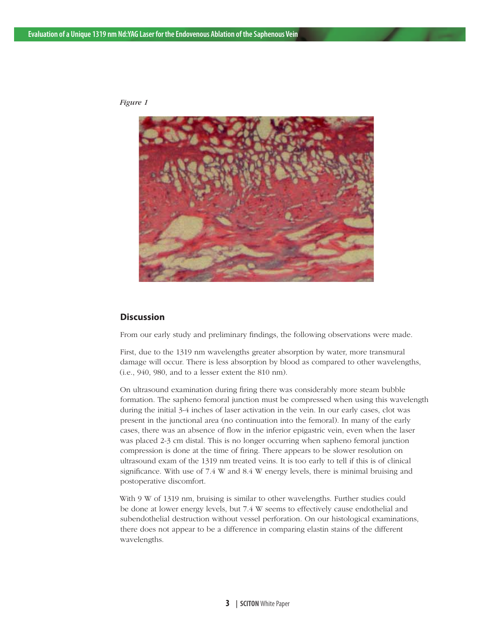

*Figure 1*

# **Discussion**

From our early study and preliminary findings, the following observations were made.

First, due to the 1319 nm wavelengths greater absorption by water, more transmural damage will occur. There is less absorption by blood as compared to other wavelengths, (i.e., 940, 980, and to a lesser extent the 810 nm).

On ultrasound examination during firing there was considerably more steam bubble formation. The sapheno femoral junction must be compressed when using this wavelength during the initial 3-4 inches of laser activation in the vein. In our early cases, clot was present in the junctional area (no continuation into the femoral). In many of the early cases, there was an absence of flow in the inferior epigastric vein, even when the laser was placed 2-3 cm distal. This is no longer occurring when sapheno femoral junction compression is done at the time of firing. There appears to be slower resolution on ultrasound exam of the 1319 nm treated veins. It is too early to tell if this is of clinical significance. With use of 7.4 W and 8.4 W energy levels, there is minimal bruising and postoperative discomfort.

With 9 W of 1319 nm, bruising is similar to other wavelengths. Further studies could be done at lower energy levels, but 7.4 W seems to effectively cause endothelial and subendothelial destruction without vessel perforation. On our histological examinations, there does not appear to be a difference in comparing elastin stains of the different wavelengths.